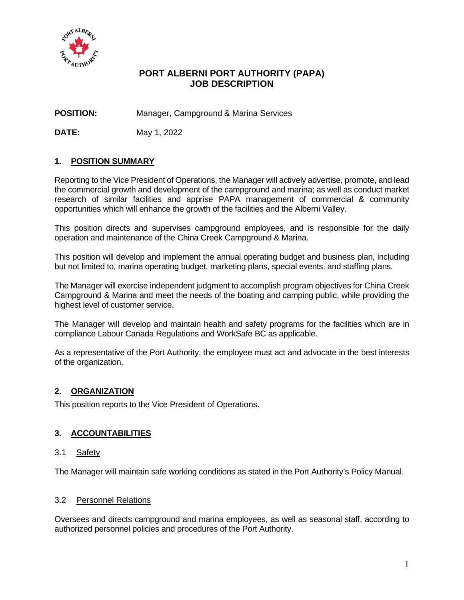

# **PORT ALBERNI PORT AUTHORITY (PAPA) JOB DESCRIPTION**

**POSITION:** Manager, Campground & Marina Services

**DATE:** May 1, 2022

# **1. POSITION SUMMARY**

Reporting to the Vice President of Operations, the Manager will actively advertise, promote, and lead the commercial growth and development of the campground and marina; as well as conduct market research of similar facilities and apprise PAPA management of commercial & community opportunities which will enhance the growth of the facilities and the Alberni Valley.

This position directs and supervises campground employees, and is responsible for the daily operation and maintenance of the China Creek Campground & Marina.

This position will develop and implement the annual operating budget and business plan, including but not limited to, marina operating budget, marketing plans, special events, and staffing plans.

The Manager will exercise independent judgment to accomplish program objectives for China Creek Campground & Marina and meet the needs of the boating and camping public, while providing the highest level of customer service.

The Manager will develop and maintain health and safety programs for the facilities which are in compliance Labour Canada Regulations and WorkSafe BC as applicable.

As a representative of the Port Authority, the employee must act and advocate in the best interests of the organization.

## **2. ORGANIZATION**

This position reports to the Vice President of Operations.

# **3. ACCOUNTABILITIES**

#### 3.1 Safety

The Manager will maintain safe working conditions as stated in the Port Authority's Policy Manual.

#### 3.2 Personnel Relations

Oversees and directs campground and marina employees, as well as seasonal staff, according to authorized personnel policies and procedures of the Port Authority.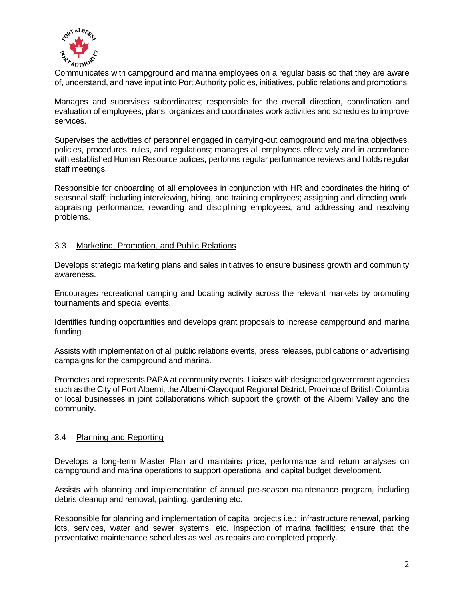

Communicates with campground and marina employees on a regular basis so that they are aware of, understand, and have input into Port Authority policies, initiatives, public relations and promotions.

Manages and supervises subordinates; responsible for the overall direction, coordination and evaluation of employees; plans, organizes and coordinates work activities and schedules to improve services.

Supervises the activities of personnel engaged in carrying-out campground and marina objectives, policies, procedures, rules, and regulations; manages all employees effectively and in accordance with established Human Resource polices, performs regular performance reviews and holds regular staff meetings.

Responsible for onboarding of all employees in conjunction with HR and coordinates the hiring of seasonal staff; including interviewing, hiring, and training employees; assigning and directing work; appraising performance; rewarding and disciplining employees; and addressing and resolving problems.

## 3.3 Marketing, Promotion, and Public Relations

Develops strategic marketing plans and sales initiatives to ensure business growth and community awareness.

Encourages recreational camping and boating activity across the relevant markets by promoting tournaments and special events.

Identifies funding opportunities and develops grant proposals to increase campground and marina funding.

Assists with implementation of all public relations events, press releases, publications or advertising campaigns for the campground and marina.

Promotes and represents PAPA at community events. Liaises with designated government agencies such as the City of Port Alberni, the Alberni-Clayoquot Regional District, Province of British Columbia or local businesses in joint collaborations which support the growth of the Alberni Valley and the community.

## 3.4 Planning and Reporting

Develops a long-term Master Plan and maintains price, performance and return analyses on campground and marina operations to support operational and capital budget development.

Assists with planning and implementation of annual pre-season maintenance program, including debris cleanup and removal, painting, gardening etc.

Responsible for planning and implementation of capital projects i.e.: infrastructure renewal, parking lots, services, water and sewer systems, etc. Inspection of marina facilities; ensure that the preventative maintenance schedules as well as repairs are completed properly.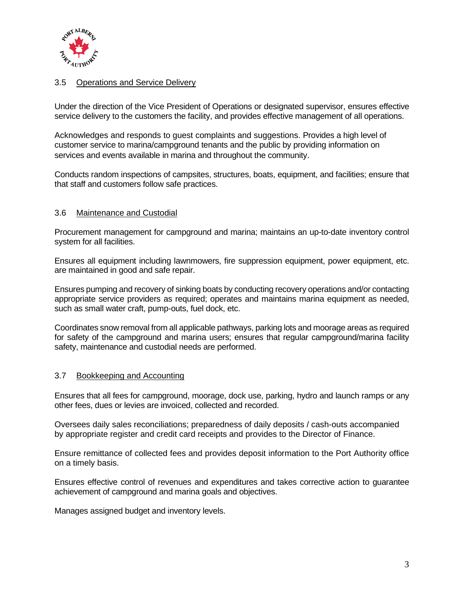

## 3.5 Operations and Service Delivery

Under the direction of the Vice President of Operations or designated supervisor, ensures effective service delivery to the customers the facility, and provides effective management of all operations.

Acknowledges and responds to guest complaints and suggestions. Provides a high level of customer service to marina/campground tenants and the public by providing information on services and events available in marina and throughout the community.

Conducts random inspections of campsites, structures, boats, equipment, and facilities; ensure that that staff and customers follow safe practices.

#### 3.6 Maintenance and Custodial

Procurement management for campground and marina; maintains an up-to-date inventory control system for all facilities.

Ensures all equipment including lawnmowers, fire suppression equipment, power equipment, etc. are maintained in good and safe repair.

Ensures pumping and recovery of sinking boats by conducting recovery operations and/or contacting appropriate service providers as required; operates and maintains marina equipment as needed, such as small water craft, pump-outs, fuel dock, etc.

Coordinates snow removal from all applicable pathways, parking lots and moorage areas as required for safety of the campground and marina users; ensures that regular campground/marina facility safety, maintenance and custodial needs are performed.

#### 3.7 Bookkeeping and Accounting

Ensures that all fees for campground, moorage, dock use, parking, hydro and launch ramps or any other fees, dues or levies are invoiced, collected and recorded.

Oversees daily sales reconciliations; preparedness of daily deposits / cash-outs accompanied by appropriate register and credit card receipts and provides to the Director of Finance.

Ensure remittance of collected fees and provides deposit information to the Port Authority office on a timely basis.

Ensures effective control of revenues and expenditures and takes corrective action to guarantee achievement of campground and marina goals and objectives.

Manages assigned budget and inventory levels.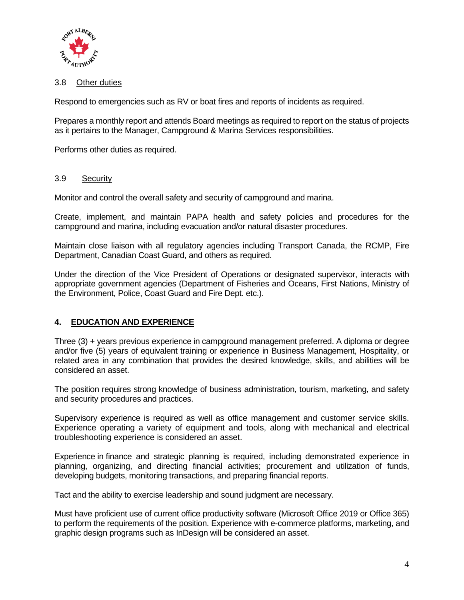

## 3.8 Other duties

Respond to emergencies such as RV or boat fires and reports of incidents as required.

Prepares a monthly report and attends Board meetings as required to report on the status of projects as it pertains to the Manager, Campground & Marina Services responsibilities.

Performs other duties as required.

## 3.9 Security

Monitor and control the overall safety and security of campground and marina.

Create, implement, and maintain PAPA health and safety policies and procedures for the campground and marina, including evacuation and/or natural disaster procedures.

Maintain close liaison with all regulatory agencies including Transport Canada, the RCMP, Fire Department, Canadian Coast Guard, and others as required.

Under the direction of the Vice President of Operations or designated supervisor, interacts with appropriate government agencies (Department of Fisheries and Oceans, First Nations, Ministry of the Environment, Police, Coast Guard and Fire Dept. etc.).

## **4. EDUCATION AND EXPERIENCE**

Three (3) + years previous experience in campground management preferred. A diploma or degree and/or five (5) years of equivalent training or experience in Business Management, Hospitality, or related area in any combination that provides the desired knowledge, skills, and abilities will be considered an asset.

The position requires strong knowledge of business administration, tourism, marketing, and safety and security procedures and practices.

Supervisory experience is required as well as office management and customer service skills. Experience operating a variety of equipment and tools, along with mechanical and electrical troubleshooting experience is considered an asset.

Experience in finance and strategic planning is required, including demonstrated experience in planning, organizing, and directing financial activities; procurement and utilization of funds, developing budgets, monitoring transactions, and preparing financial reports.

Tact and the ability to exercise leadership and sound judgment are necessary.

Must have proficient use of current office productivity software (Microsoft Office 2019 or Office 365) to perform the requirements of the position. Experience with e-commerce platforms, marketing, and graphic design programs such as InDesign will be considered an asset.